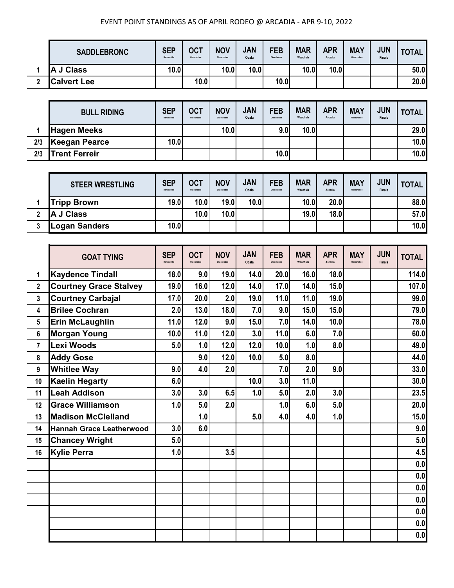|   | <b>SADDLEBRONC</b> | <b>SEP</b><br>Kenansville | <b>OCT</b><br>Okeechobee | <b>NOV</b><br>Okeechobee | <b>JAN</b><br>Ocala | <b>FEB</b><br>Okeechobee | <b>MAR</b><br>Wauchula | <b>APR</b><br>Arcadia | <b>MAY</b><br>Okeechobee | <b>JUN</b><br><b>Finals</b> | TOTAL. |
|---|--------------------|---------------------------|--------------------------|--------------------------|---------------------|--------------------------|------------------------|-----------------------|--------------------------|-----------------------------|--------|
|   | J Class<br>A       | 10.01                     |                          | 10.0                     | 10.0                |                          | 10.0                   | 10.0                  |                          |                             | 50.0   |
| ◠ | <b>Calvert Lee</b> |                           | 10.0                     |                          |                     | 10.0                     |                        |                       |                          |                             | 20.0   |

|     | <b>BULL RIDING</b>   | <b>SEP</b><br>Kenansville | <b>OCT</b><br>Okeechobee | <b>NOV</b><br>Okeechobee | <b>JAN</b><br>Ocala | <b>FEB</b><br>Okeechobee | <b>MAR</b><br>Wauchula | <b>APR</b><br>Arcadia | <b>MAY</b><br>Okeechobee | <b>JUN</b><br><b>Finals</b> | <b>TOTAL</b> |
|-----|----------------------|---------------------------|--------------------------|--------------------------|---------------------|--------------------------|------------------------|-----------------------|--------------------------|-----------------------------|--------------|
|     | <b>Hagen Meeks</b>   |                           |                          | 10.0                     |                     | 9.0                      | 10.0                   |                       |                          |                             | 29.0         |
| 2/3 | Keegan Pearce        | 10.0                      |                          |                          |                     |                          |                        |                       |                          |                             | 10.0         |
| 2/3 | <b>Trent Ferreir</b> |                           |                          |                          |                     | 10.0                     |                        |                       |                          |                             | 10.0         |

| <b>STEER WRESTLING</b> | <b>SEP</b><br>Kenansville | <b>OCT</b><br>Okeechobee | <b>NOV</b><br>Okeechobee | <b>JAN</b><br>Ocala | <b>FEB</b><br>Okeechobee | <b>MAR</b><br>Wauchula | <b>APR</b><br>Arcadia | <b>MAY</b><br>Okeechobee | <b>JUN</b><br><b>Finals</b> | <b>TOTAL</b> |
|------------------------|---------------------------|--------------------------|--------------------------|---------------------|--------------------------|------------------------|-----------------------|--------------------------|-----------------------------|--------------|
| <b>Tripp Brown</b>     | 19.0                      | 10.0 <sub>l</sub>        | 19.0                     | 10.0                |                          | 10.0 <sub>l</sub>      | 20.0                  |                          |                             | 88.0         |
| <b>IA J Class</b>      |                           | 10.0                     | 10.0 <sub>l</sub>        |                     |                          | 19.0                   | 18.0                  |                          |                             | 57.0         |
| <b>ILogan Sanders</b>  | 10.0                      |                          |                          |                     |                          |                        |                       |                          |                             | 10.0         |

|                | <b>GOAT TYING</b>               | <b>SEP</b><br>Kenansville | <b>OCT</b><br>Okeechobee | <b>NOV</b><br>Okeechobee | <b>JAN</b><br>Ocala | <b>FEB</b><br>Okeechobee | <b>MAR</b><br>Wauchula | <b>APR</b><br>Arcadia | <b>MAY</b><br>Okeechobee | <b>JUN</b><br><b>Finals</b> | <b>TOTAL</b> |
|----------------|---------------------------------|---------------------------|--------------------------|--------------------------|---------------------|--------------------------|------------------------|-----------------------|--------------------------|-----------------------------|--------------|
| 1              | <b>Kaydence Tindall</b>         | 18.0                      | 9.0                      | 19.0                     | 14.0                | 20.0                     | 16.0                   | 18.0                  |                          |                             | 114.0        |
| $\overline{2}$ | <b>Courtney Grace Stalvey</b>   | 19.0                      | 16.0                     | 12.0                     | 14.0                | 17.0                     | 14.0                   | 15.0                  |                          |                             | 107.0        |
| $\mathbf{3}$   | <b>Courtney Carbajal</b>        | 17.0                      | 20.0                     | 2.0                      | 19.0                | 11.0                     | 11.0                   | 19.0                  |                          |                             | 99.0         |
| 4              | <b>Brilee Cochran</b>           | 2.0                       | 13.0                     | 18.0                     | 7.0                 | 9.0                      | 15.0                   | 15.0                  |                          |                             | 79.0         |
| 5              | <b>Erin McLaughlin</b>          | 11.0                      | 12.0                     | 9.0                      | 15.0                | 7.0                      | 14.0                   | 10.0                  |                          |                             | 78.0         |
| 6              | <b>Morgan Young</b>             | 10.0                      | 11.0                     | 12.0                     | 3.0                 | 11.0                     | 6.0                    | 7.0                   |                          |                             | 60.0         |
| $\overline{7}$ | Lexi Woods                      | 5.0                       | 1.0                      | 12.0                     | 12.0                | 10.0                     | 1.0                    | 8.0                   |                          |                             | 49.0         |
| 8              | <b>Addy Gose</b>                |                           | 9.0                      | 12.0                     | 10.0                | 5.0                      | 8.0                    |                       |                          |                             | 44.0         |
| 9              | <b>Whitlee Way</b>              | 9.0                       | 4.0                      | 2.0                      |                     | 7.0                      | 2.0                    | 9.0                   |                          |                             | 33.0         |
| 10             | <b>Kaelin Hegarty</b>           | 6.0                       |                          |                          | 10.0                | 3.0                      | 11.0                   |                       |                          |                             | 30.0         |
| 11             | <b>Leah Addison</b>             | 3.0                       | 3.0                      | 6.5                      | 1.0                 | 5.0                      | 2.0                    | 3.0                   |                          |                             | 23.5         |
| 12             | <b>Grace Williamson</b>         | 1.0                       | 5.0                      | 2.0                      |                     | 1.0                      | 6.0                    | 5.0                   |                          |                             | 20.0         |
| 13             | <b>Madison McClelland</b>       |                           | 1.0                      |                          | 5.0                 | 4.0                      | 4.0                    | 1.0                   |                          |                             | 15.0         |
| 14             | <b>Hannah Grace Leatherwood</b> | 3.0                       | 6.0                      |                          |                     |                          |                        |                       |                          |                             | 9.0          |
| 15             | <b>Chancey Wright</b>           | 5.0                       |                          |                          |                     |                          |                        |                       |                          |                             | 5.0          |
| 16             | <b>Kylie Perra</b>              | 1.0                       |                          | 3.5                      |                     |                          |                        |                       |                          |                             | 4.5          |
|                |                                 |                           |                          |                          |                     |                          |                        |                       |                          |                             | 0.0          |
|                |                                 |                           |                          |                          |                     |                          |                        |                       |                          |                             | 0.0          |
|                |                                 |                           |                          |                          |                     |                          |                        |                       |                          |                             | 0.0          |
|                |                                 |                           |                          |                          |                     |                          |                        |                       |                          |                             | 0.0          |
|                |                                 |                           |                          |                          |                     |                          |                        |                       |                          |                             | 0.0          |
|                |                                 |                           |                          |                          |                     |                          |                        |                       |                          |                             | 0.0          |
|                |                                 |                           |                          |                          |                     |                          |                        |                       |                          |                             | 0.0          |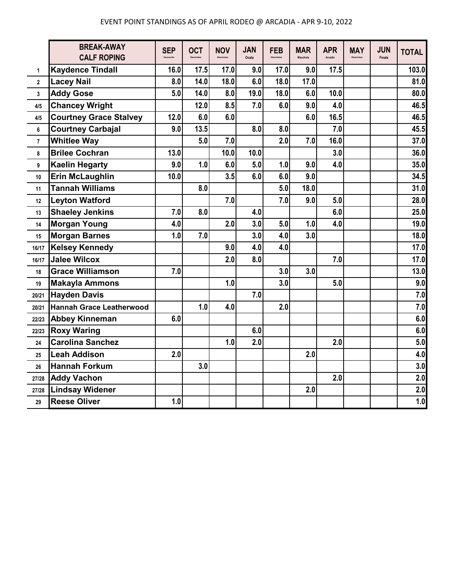|                         | <b>BREAK-AWAY</b><br><b>CALF ROPING</b> | <b>SEP</b> | <b>OCT</b> | <b>NOV</b> | <b>JAN</b><br>Ocala | <b>FEB</b> | <b>MAR</b><br>Wauchula | <b>APR</b><br>Arcadia | <b>MAY</b><br><b>Okeechober</b> | <b>JUN</b><br>Finals | <b>TOTAL</b> |
|-------------------------|-----------------------------------------|------------|------------|------------|---------------------|------------|------------------------|-----------------------|---------------------------------|----------------------|--------------|
| 1                       | <b>Kaydence Tindall</b>                 | 16.0       | 17.5       | 17.0       | 9.0                 | 17.0       | 9.0                    | 17.5                  |                                 |                      | 103.0        |
| $\mathbf{2}$            | <b>Lacey Nail</b>                       | 8.0        | 14.0       | 18.0       | 6.0                 | 18.0       | 17.0                   |                       |                                 |                      | 81.0         |
| $\overline{\mathbf{3}}$ | <b>Addy Gose</b>                        | 5.0        | 14.0       | 8.0        | 19.0                | 18.0       | 6.0                    | 10.0                  |                                 |                      | 80.0         |
| 4/5                     | <b>Chancey Wright</b>                   |            | 12.0       | 8.5        | 7.0                 | 6.0        | 9.0                    | 4.0                   |                                 |                      | 46.5         |
| 4/5                     | <b>Courtney Grace Stalvey</b>           | 12.0       | 6.0        | 6.0        |                     |            | 6.0                    | 16.5                  |                                 |                      | 46.5         |
| 6                       | <b>Courtney Carbajal</b>                | 9.0        | 13.5       |            | 8.0                 | 8.0        |                        | 7.0                   |                                 |                      | 45.5         |
| 7                       | <b>Whitlee Way</b>                      |            | 5.0        | 7.0        |                     | 2.0        | 7.0                    | 16.0                  |                                 |                      | 37.0         |
| 8                       | <b>Brilee Cochran</b>                   | 13.0       |            | 10.0       | 10.0                |            |                        | 3.0                   |                                 |                      | 36.0         |
| 9                       | <b>Kaelin Hegarty</b>                   | 9.0        | 1.0        | 6.0        | 5.0                 | 1.0        | 9.0                    | 4.0                   |                                 |                      | 35.0         |
| 10                      | <b>Erin McLaughlin</b>                  | 10.0       |            | 3.5        | 6.0                 | 6.0        | 9.0                    |                       |                                 |                      | 34.5         |
| 11                      | <b>Tannah Williams</b>                  |            | 8.0        |            |                     | 5.0        | 18.0                   |                       |                                 |                      | 31.0         |
| 12                      | <b>Leyton Watford</b>                   |            |            | 7.0        |                     | 7.0        | 9.0                    | 5.0                   |                                 |                      | 28.0         |
| 13                      | <b>Shaeley Jenkins</b>                  | 7.0        | 8.0        |            | 4.0                 |            |                        | 6.0                   |                                 |                      | 25.0         |
| 14                      | <b>Morgan Young</b>                     | 4.0        |            | 2.0        | 3.0                 | 5.0        | 1.0                    | 4.0                   |                                 |                      | 19.0         |
| 15                      | <b>Morgan Barnes</b>                    | 1.0        | 7.0        |            | 3.0                 | 4.0        | 3.0                    |                       |                                 |                      | 18.0         |
| 16/17                   | <b>Kelsey Kennedy</b>                   |            |            | 9.0        | 4.0                 | 4.0        |                        |                       |                                 |                      | 17.0         |
| 16/17                   | <b>Jalee Wilcox</b>                     |            |            | 2.0        | 8.0                 |            |                        | 7.0                   |                                 |                      | 17.0         |
| 18                      | <b>Grace Williamson</b>                 | 7.0        |            |            |                     | 3.0        | 3.0                    |                       |                                 |                      | 13.0         |
| 19                      | <b>Makayla Ammons</b>                   |            |            | 1.0        |                     | 3.0        |                        | 5.0                   |                                 |                      | 9.0          |
| 20/21                   | <b>Hayden Davis</b>                     |            |            |            | 7.0                 |            |                        |                       |                                 |                      | 7.0          |
| 20/21                   | <b>Hannah Grace Leatherwood</b>         |            | 1.0        | 4.0        |                     | 2.0        |                        |                       |                                 |                      | 7.0          |
| 22/23                   | <b>Abbey Kinneman</b>                   | 6.0        |            |            |                     |            |                        |                       |                                 |                      | 6.0          |
| 22/23                   | <b>Roxy Waring</b>                      |            |            |            | 6.0                 |            |                        |                       |                                 |                      | 6.0          |
| 24                      | <b>Carolina Sanchez</b>                 |            |            | 1.0        | 2.0                 |            |                        | 2.0                   |                                 |                      | 5.0          |
| 25                      | <b>Leah Addison</b>                     | 2.0        |            |            |                     |            | 2.0                    |                       |                                 |                      | 4.0          |
| 26                      | <b>Hannah Forkum</b>                    |            | 3.0        |            |                     |            |                        |                       |                                 |                      | 3.0          |
| 27/28                   | <b>Addy Vachon</b>                      |            |            |            |                     |            |                        | 2.0                   |                                 |                      | 2.0          |
| 27/28                   | <b>Lindsay Widener</b>                  |            |            |            |                     |            | 2.0                    |                       |                                 |                      | 2.0          |
| 29                      | <b>Reese Oliver</b>                     | 1.0        |            |            |                     |            |                        |                       |                                 |                      | 1.0          |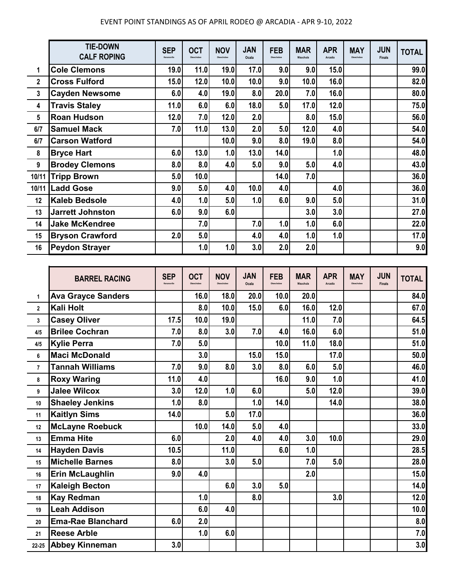|                         | <b>TIE-DOWN</b><br><b>CALF ROPING</b> | <b>SEP</b><br>Kenansville | <b>OCT</b><br>Okeechobee | <b>NOV</b><br>Okeechobee | <b>JAN</b><br>Ocala | <b>FEB</b><br>Okeechobee | <b>MAR</b><br>Wauchula | <b>APR</b><br>Arcadia | <b>MAY</b><br>Okeechobee | <b>JUN</b><br><b>Finals</b> | <b>TOTAL</b> |
|-------------------------|---------------------------------------|---------------------------|--------------------------|--------------------------|---------------------|--------------------------|------------------------|-----------------------|--------------------------|-----------------------------|--------------|
| 1                       | <b>Cole Clemons</b>                   | 19.0                      | 11.0                     | 19.0                     | 17.0                | 9.0                      | 9.0                    | 15.0                  |                          |                             | 99.0         |
| $\mathbf 2$             | <b>Cross Fulford</b>                  | 15.0                      | 12.0                     | 10.0                     | 10.0                | 9.0                      | 10.0                   | 16.0                  |                          |                             | 82.0         |
| 3                       | <b>Cayden Newsome</b>                 | 6.0                       | 4.0                      | 19.0                     | 8.0                 | 20.0                     | 7.0                    | 16.0                  |                          |                             | 80.0         |
| 4                       | <b>Travis Staley</b>                  | 11.0                      | 6.0                      | 6.0                      | 18.0                | 5.0                      | 17.0                   | 12.0                  |                          |                             | 75.0         |
| $\overline{\mathbf{5}}$ | <b>Roan Hudson</b>                    | 12.0                      | 7.0                      | 12.0                     | 2.0                 |                          | 8.0                    | 15.0                  |                          |                             | 56.0         |
| 6/7                     | <b>Samuel Mack</b>                    | 7.0                       | 11.0                     | 13.0                     | 2.0                 | 5.0                      | 12.0                   | 4.0                   |                          |                             | 54.0         |
| 6/7                     | <b>Carson Watford</b>                 |                           |                          | 10.0                     | 9.0                 | 8.0                      | 19.0                   | 8.0                   |                          |                             | 54.0         |
| 8                       | <b>Bryce Hart</b>                     | 6.0                       | 13.0                     | 1.0                      | 13.0                | 14.0                     |                        | 1.0                   |                          |                             | 48.0         |
| 9                       | <b>Brodey Clemons</b>                 | 8.0                       | 8.0                      | 4.0                      | 5.0                 | 9.0                      | 5.0                    | 4.0                   |                          |                             | 43.0         |
| 10/11                   | <b>Tripp Brown</b>                    | 5.0                       | 10.0                     |                          |                     | 14.0                     | 7.0                    |                       |                          |                             | 36.0         |
| 10/11                   | <b>Ladd Gose</b>                      | 9.0                       | 5.0                      | 4.0                      | 10.0                | 4.0                      |                        | 4.0                   |                          |                             | 36.0         |
| 12                      | <b>Kaleb Bedsole</b>                  | 4.0                       | 1.0                      | 5.0                      | 1.0                 | 6.0                      | 9.0                    | 5.0                   |                          |                             | 31.0         |
| 13                      | <b>Jarrett Johnston</b>               | 6.0                       | 9.0                      | 6.0                      |                     |                          | 3.0                    | 3.0                   |                          |                             | 27.0         |
| 14                      | <b>Jake McKendree</b>                 |                           | 7.0                      |                          | 7.0                 | 1.0                      | 1.0                    | 6.0                   |                          |                             | 22.0         |
| 15                      | <b>Bryson Crawford</b>                | 2.0                       | 5.0                      |                          | 4.0                 | 4.0                      | 1.0                    | 1.0                   |                          |                             | 17.0         |
| 16                      | <b>Peydon Strayer</b>                 |                           | 1.0                      | 1.0                      | 3.0                 | 2.0                      | 2.0                    |                       |                          |                             | 9.0          |

|                | <b>BARREL RACING</b>      | <b>SEP</b><br>Kenansville | <b>OCT</b> | <b>NOV</b> | <b>JAN</b><br>Ocala | <b>FEB</b> | <b>MAR</b><br>Wauchula | <b>APR</b><br>Arcadia | <b>MAY</b><br>Okeechobee | <b>JUN</b><br><b>Finals</b> | <b>TOTAL</b> |
|----------------|---------------------------|---------------------------|------------|------------|---------------------|------------|------------------------|-----------------------|--------------------------|-----------------------------|--------------|
| 1              | <b>Ava Grayce Sanders</b> |                           | 16.0       | 18.0       | 20.0                | 10.0       | 20.0                   |                       |                          |                             | 84.0         |
| $\mathbf{2}$   | Kali Holt                 |                           | 8.0        | 10.0       | 15.0                | 6.0        | 16.0                   | 12.0                  |                          |                             | 67.0         |
| 3              | <b>Casey Oliver</b>       | 17.5                      | 10.0       | 19.0       |                     |            | 11.0                   | 7.0                   |                          |                             | 64.5         |
| 4/5            | <b>Brilee Cochran</b>     | 7.0                       | 8.0        | 3.0        | 7.0                 | 4.0        | 16.0                   | 6.0                   |                          |                             | 51.0         |
| 4/5            | <b>Kylie Perra</b>        | 7.0                       | 5.0        |            |                     | 10.0       | 11.0                   | 18.0                  |                          |                             | 51.0         |
| 6              | <b>Maci McDonald</b>      |                           | 3.0        |            | 15.0                | 15.0       |                        | 17.0                  |                          |                             | 50.0         |
| $\overline{7}$ | <b>Tannah Williams</b>    | 7.0                       | 9.0        | 8.0        | 3.0                 | 8.0        | 6.0                    | 5.0                   |                          |                             | 46.0         |
| 8              | <b>Roxy Waring</b>        | 11.0                      | 4.0        |            |                     | 16.0       | 9.0                    | 1.0                   |                          |                             | 41.0         |
| 9              | <b>Jalee Wilcox</b>       | 3.0                       | 12.0       | 1.0        | 6.0                 |            | 5.0                    | 12.0                  |                          |                             | 39.0         |
| 10             | <b>Shaeley Jenkins</b>    | 1.0                       | 8.0        |            | 1.0                 | 14.0       |                        | 14.0                  |                          |                             | 38.0         |
| 11             | <b>Kaitlyn Sims</b>       | 14.0                      |            | 5.0        | 17.0                |            |                        |                       |                          |                             | 36.0         |
| 12             | <b>McLayne Roebuck</b>    |                           | 10.0       | 14.0       | 5.0                 | 4.0        |                        |                       |                          |                             | 33.0         |
| 13             | <b>Emma Hite</b>          | 6.0                       |            | 2.0        | 4.0                 | 4.0        | 3.0                    | 10.0                  |                          |                             | 29.0         |
| 14             | <b>Hayden Davis</b>       | 10.5                      |            | 11.0       |                     | 6.0        | 1.0                    |                       |                          |                             | 28.5         |
| 15             | <b>Michelle Barnes</b>    | 8.0                       |            | 3.0        | 5.0                 |            | 7.0                    | 5.0                   |                          |                             | 28.0         |
| 16             | Erin McLaughlin           | 9.0                       | 4.0        |            |                     |            | 2.0                    |                       |                          |                             | 15.0         |
| 17             | <b>Kaleigh Becton</b>     |                           |            | 6.0        | 3.0                 | 5.0        |                        |                       |                          |                             | 14.0         |
| 18             | <b>Kay Redman</b>         |                           | 1.0        |            | 8.0                 |            |                        | 3.0                   |                          |                             | 12.0         |
| 19             | <b>Leah Addison</b>       |                           | 6.0        | 4.0        |                     |            |                        |                       |                          |                             | 10.0         |
| 20             | <b>Ema-Rae Blanchard</b>  | 6.0                       | 2.0        |            |                     |            |                        |                       |                          |                             | 8.0          |
| 21             | <b>Reese Arble</b>        |                           | 1.0        | 6.0        |                     |            |                        |                       |                          |                             | 7.0          |
| 22 25          | <b>Abbey Kinneman</b>     | 3.0                       |            |            |                     |            |                        |                       |                          |                             | 3.0          |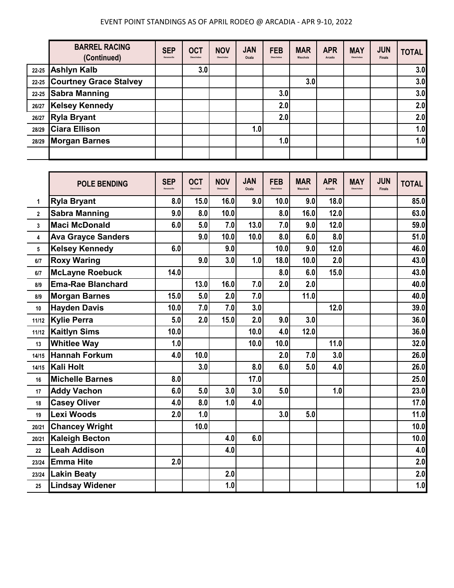|       | <b>BARREL RACING</b><br>(Continued) | <b>SEP</b><br>Kenansville | <b>OCT</b><br>Okeechobee | <b>NOV</b><br>Okeechobee | <b>JAN</b><br>Ocala | <b>FEB</b><br>Okeechobee | <b>MAR</b><br>Wauchula | <b>APR</b><br>Arcadia | <b>MAY</b><br>Okeechobee | <b>JUN</b><br><b>Finals</b> | <b>TOTAL</b> |
|-------|-------------------------------------|---------------------------|--------------------------|--------------------------|---------------------|--------------------------|------------------------|-----------------------|--------------------------|-----------------------------|--------------|
|       | 22-25 Ashlyn Kalb                   |                           | 3.0                      |                          |                     |                          |                        |                       |                          |                             | 3.0          |
| 22-25 | <b>Courtney Grace Stalvey</b>       |                           |                          |                          |                     |                          | 3.0                    |                       |                          |                             | 3.0          |
| 22-25 | <b>Sabra Manning</b>                |                           |                          |                          |                     | 3.0                      |                        |                       |                          |                             | 3.0          |
| 26/27 | <b>Kelsey Kennedy</b>               |                           |                          |                          |                     | 2.0                      |                        |                       |                          |                             | 2.0          |
| 26/27 | Ryla Bryant                         |                           |                          |                          |                     | 2.0                      |                        |                       |                          |                             | 2.0          |
| 28/29 | <b>Ciara Ellison</b>                |                           |                          |                          | 1.0                 |                          |                        |                       |                          |                             | 1.0          |
| 28/29 | <b>Morgan Barnes</b>                |                           |                          |                          |                     | 1.0                      |                        |                       |                          |                             | 1.0          |
|       |                                     |                           |                          |                          |                     |                          |                        |                       |                          |                             |              |

|              | <b>POLE BENDING</b>       | <b>SEP</b><br>Kenansville | <b>OCT</b><br>Okeechobee | <b>NOV</b><br>Okeechobee | <b>JAN</b><br>Ocala | <b>FEB</b><br>Okeechobee | <b>MAR</b><br>Wauchula | <b>APR</b><br>Arcadia | <b>MAY</b><br>Okeechobee | <b>JUN</b><br><b>Finals</b> | <b>TOTAL</b> |
|--------------|---------------------------|---------------------------|--------------------------|--------------------------|---------------------|--------------------------|------------------------|-----------------------|--------------------------|-----------------------------|--------------|
| 1            | <b>Ryla Bryant</b>        | 8.0                       | 15.0                     | 16.0                     | 9.0                 | 10.0                     | 9.0                    | 18.0                  |                          |                             | 85.0         |
| $\mathbf{2}$ | <b>Sabra Manning</b>      | 9.0                       | 8.0                      | 10.0                     |                     | 8.0                      | 16.0                   | 12.0                  |                          |                             | 63.0         |
| 3            | <b>Maci McDonald</b>      | 6.0                       | 5.0                      | 7.0                      | 13.0                | 7.0                      | 9.0                    | 12.0                  |                          |                             | 59.0         |
| 4            | <b>Ava Grayce Sanders</b> |                           | 9.0                      | 10.0                     | 10.0                | 8.0                      | 6.0                    | 8.0                   |                          |                             | 51.0         |
| 5            | <b>Kelsey Kennedy</b>     | 6.0                       |                          | 9.0                      |                     | 10.0                     | 9.0                    | 12.0                  |                          |                             | 46.0         |
| 6/7          | <b>Roxy Waring</b>        |                           | 9.0                      | 3.0                      | 1.0                 | 18.0                     | 10.0                   | 2.0                   |                          |                             | 43.0         |
| 6/7          | <b>McLayne Roebuck</b>    | 14.0                      |                          |                          |                     | 8.0                      | 6.0                    | 15.0                  |                          |                             | 43.0         |
| 8/9          | <b>Ema-Rae Blanchard</b>  |                           | 13.0                     | 16.0                     | 7.0                 | 2.0                      | 2.0                    |                       |                          |                             | 40.0         |
| 8/9          | <b>Morgan Barnes</b>      | 15.0                      | 5.0                      | 2.0                      | 7.0                 |                          | 11.0                   |                       |                          |                             | 40.0         |
| 10           | <b>Hayden Davis</b>       | 10.0                      | 7.0                      | 7.0                      | 3.0                 |                          |                        | 12.0                  |                          |                             | 39.0         |
| 11/12        | <b>Kylie Perra</b>        | 5.0                       | 2.0                      | 15.0                     | 2.0                 | 9.0                      | 3.0                    |                       |                          |                             | 36.0         |
| 11/12        | <b>Kaitlyn Sims</b>       | 10.0                      |                          |                          | 10.0                | 4.0                      | 12.0                   |                       |                          |                             | 36.0         |
| 13           | <b>Whitlee Way</b>        | 1.0                       |                          |                          | 10.0                | 10.0                     |                        | 11.0                  |                          |                             | 32.0         |
| 14/15        | <b>Hannah Forkum</b>      | 4.0                       | 10.0                     |                          |                     | 2.0                      | 7.0                    | 3.0                   |                          |                             | 26.0         |
| 14/15        | Kali Holt                 |                           | 3.0                      |                          | 8.0                 | 6.0                      | 5.0                    | 4.0                   |                          |                             | 26.0         |
| 16           | <b>Michelle Barnes</b>    | 8.0                       |                          |                          | 17.0                |                          |                        |                       |                          |                             | 25.0         |
| 17           | <b>Addy Vachon</b>        | 6.0                       | 5.0                      | 3.0                      | 3.0                 | 5.0                      |                        | 1.0                   |                          |                             | 23.0         |
| 18           | <b>Casey Oliver</b>       | 4.0                       | 8.0                      | 1.0                      | 4.0                 |                          |                        |                       |                          |                             | 17.0         |
| 19           | Lexi Woods                | 2.0                       | 1.0                      |                          |                     | 3.0                      | 5.0                    |                       |                          |                             | 11.0         |
| 20/21        | <b>Chancey Wright</b>     |                           | 10.0                     |                          |                     |                          |                        |                       |                          |                             | 10.0         |
| 20/21        | <b>Kaleigh Becton</b>     |                           |                          | 4.0                      | 6.0                 |                          |                        |                       |                          |                             | 10.0         |
| 22           | <b>Leah Addison</b>       |                           |                          | 4.0                      |                     |                          |                        |                       |                          |                             | 4.0          |
| 23/24        | <b>Emma Hite</b>          | 2.0                       |                          |                          |                     |                          |                        |                       |                          |                             | 2.0          |
| 23/24        | <b>Lakin Beaty</b>        |                           |                          | 2.0                      |                     |                          |                        |                       |                          |                             | 2.0          |
| 25           | <b>Lindsay Widener</b>    |                           |                          | 1.0                      |                     |                          |                        |                       |                          |                             | 1.0          |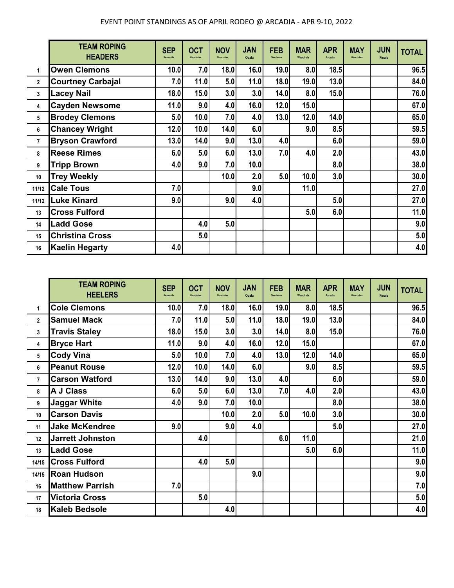|              | <b>TEAM ROPING</b><br><b>HEADERS</b> | <b>SEP</b><br>Kenansville | <b>OCT</b><br>Okeechobee | <b>NOV</b><br>Okeachobee | <b>JAN</b><br>Ocala | <b>FEB</b><br>Okeechobee | <b>MAR</b><br>Wauchula | <b>APR</b><br><b>Arcadia</b> | <b>MAY</b><br>Okeechobee | <b>JUN</b><br><b>Finals</b> | <b>TOTAL</b> |
|--------------|--------------------------------------|---------------------------|--------------------------|--------------------------|---------------------|--------------------------|------------------------|------------------------------|--------------------------|-----------------------------|--------------|
| 1            | <b>Owen Clemons</b>                  | 10.0                      | 7.0                      | 18.0                     | 16.0                | 19.0                     | 8.0                    | 18.5                         |                          |                             | 96.5         |
| $\mathbf{2}$ | <b>Courtney Carbajal</b>             | 7.0                       | 11.0                     | 5.0                      | 11.0                | 18.0                     | 19.0                   | 13.0                         |                          |                             | 84.0         |
| 3            | Lacey Nail                           | 18.0                      | 15.0                     | 3.0                      | 3.0                 | 14.0                     | 8.0                    | 15.0                         |                          |                             | 76.0         |
| 4            | <b>Cayden Newsome</b>                | 11.0                      | 9.0                      | 4.0                      | 16.0                | 12.0                     | 15.0                   |                              |                          |                             | 67.0         |
| 5            | <b>Brodey Clemons</b>                | 5.0                       | 10.0                     | 7.0                      | 4.0                 | 13.0                     | 12.0                   | 14.0                         |                          |                             | 65.0         |
| 6            | <b>Chancey Wright</b>                | 12.0                      | 10.0                     | 14.0                     | 6.0                 |                          | 9.0                    | 8.5                          |                          |                             | 59.5         |
| 7            | <b>Bryson Crawford</b>               | 13.0                      | 14.0                     | 9.0                      | 13.0                | 4.0                      |                        | 6.0                          |                          |                             | 59.0         |
| 8            | <b>Reese Rimes</b>                   | 6.0                       | 5.0                      | 6.0                      | 13.0                | 7.0                      | 4.0                    | 2.0                          |                          |                             | 43.0         |
| 9            | <b>Tripp Brown</b>                   | 4.0                       | 9.0                      | 7.0                      | 10.0                |                          |                        | 8.0                          |                          |                             | 38.0         |
| 10           | <b>Trey Weekly</b>                   |                           |                          | 10.0                     | 2.0                 | 5.0                      | 10.0                   | 3.0                          |                          |                             | 30.0         |
| 11/12        | <b>Cale Tous</b>                     | 7.0                       |                          |                          | 9.0                 |                          | 11.0                   |                              |                          |                             | 27.0         |
| 11/12        | Luke Kinard                          | 9.0                       |                          | 9.0                      | 4.0                 |                          |                        | 5.0                          |                          |                             | 27.0         |
| 13           | <b>Cross Fulford</b>                 |                           |                          |                          |                     |                          | 5.0                    | 6.0                          |                          |                             | 11.0         |
| 14           | <b>Ladd Gose</b>                     |                           | 4.0                      | 5.0                      |                     |                          |                        |                              |                          |                             | 9.0          |
| 15           | <b>Christina Cross</b>               |                           | 5.0                      |                          |                     |                          |                        |                              |                          |                             | 5.0          |
| 16           | <b>Kaelin Hegarty</b>                | 4.0                       |                          |                          |                     |                          |                        |                              |                          |                             | 4.0          |

|              | <b>TEAM ROPING</b><br><b>HEELERS</b> | <b>SEP</b><br>Kenansville | <b>OCT</b><br>Okeechober | <b>NOV</b><br>Okeachoba | <b>JAN</b><br>Ocala | <b>FEB</b><br>Okeechobee | <b>MAR</b><br>Wauchula | <b>APR</b><br>Arcadia | <b>MAY</b><br>Okeechobee | <b>JUN</b><br><b>Finals</b> | <b>TOTAL</b> |
|--------------|--------------------------------------|---------------------------|--------------------------|-------------------------|---------------------|--------------------------|------------------------|-----------------------|--------------------------|-----------------------------|--------------|
| 1            | <b>Cole Clemons</b>                  | 10.0                      | 7.0                      | 18.0                    | 16.0                | 19.0                     | 8.0                    | 18.5                  |                          |                             | 96.5         |
| $\mathbf{2}$ | <b>Samuel Mack</b>                   | 7.0                       | 11.0                     | 5.0                     | 11.0                | 18.0                     | 19.0                   | 13.0                  |                          |                             | 84.0         |
| 3            | <b>Travis Staley</b>                 | 18.0                      | 15.0                     | 3.0                     | 3.0                 | 14.0                     | 8.0                    | 15.0                  |                          |                             | 76.0         |
| 4            | <b>Bryce Hart</b>                    | 11.0                      | 9.0                      | 4.0                     | 16.0                | 12.0                     | 15.0                   |                       |                          |                             | 67.0         |
| 5            | <b>Cody Vina</b>                     | 5.0                       | 10.0                     | 7.0                     | 4.0                 | 13.0                     | 12.0                   | 14.0                  |                          |                             | 65.0         |
| 6            | <b>Peanut Rouse</b>                  | 12.0                      | 10.0                     | 14.0                    | 6.0                 |                          | 9.0                    | 8.5                   |                          |                             | 59.5         |
| $\mathbf{7}$ | <b>Carson Watford</b>                | 13.0                      | 14.0                     | 9.0                     | 13.0                | 4.0                      |                        | 6.0                   |                          |                             | 59.0         |
| 8            | <b>A J Class</b>                     | 6.0                       | 5.0                      | 6.0                     | 13.0                | 7.0                      | 4.0                    | 2.0                   |                          |                             | 43.0         |
| 9            | <b>Jaggar White</b>                  | 4.0                       | 9.0                      | 7.0                     | 10.0                |                          |                        | 8.0                   |                          |                             | 38.0         |
| 10           | <b>Carson Davis</b>                  |                           |                          | 10.0                    | 2.0                 | 5.0                      | 10.0                   | 3.0                   |                          |                             | 30.0         |
| 11           | <b>Jake McKendree</b>                | 9.0                       |                          | 9.0                     | 4.0                 |                          |                        | 5.0                   |                          |                             | 27.0         |
| 12           | <b>Jarrett Johnston</b>              |                           | 4.0                      |                         |                     | 6.0                      | 11.0                   |                       |                          |                             | 21.0         |
| 13           | <b>Ladd Gose</b>                     |                           |                          |                         |                     |                          | 5.0                    | 6.0                   |                          |                             | 11.0         |
| 14/15        | <b>Cross Fulford</b>                 |                           | 4.0                      | 5.0                     |                     |                          |                        |                       |                          |                             | 9.0          |
| 14/15        | <b>Roan Hudson</b>                   |                           |                          |                         | 9.0                 |                          |                        |                       |                          |                             | 9.0          |
| 16           | <b>Matthew Parrish</b>               | 7.0                       |                          |                         |                     |                          |                        |                       |                          |                             | 7.0          |
| 17           | <b>Victoria Cross</b>                |                           | 5.0                      |                         |                     |                          |                        |                       |                          |                             | 5.0          |
| 18           | <b>Kaleb Bedsole</b>                 |                           |                          | 4.0                     |                     |                          |                        |                       |                          |                             | 4.0          |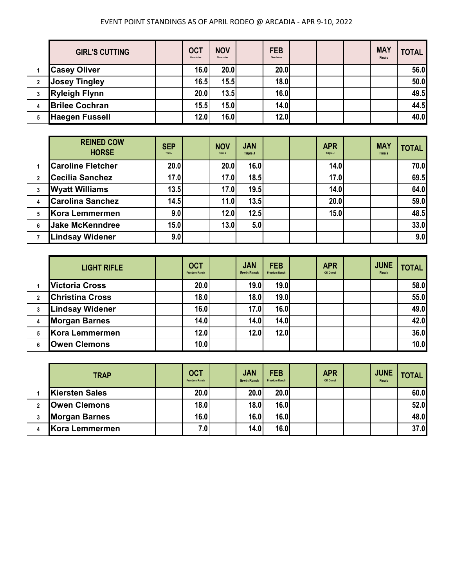|                | <b>GIRL'S CUTTING</b> | <b>OCT</b><br>Okeechobee | <b>NOV</b><br>Okeechobee | <b>FEB</b><br>Okeechobee |  | <b>MAY</b><br><b>Finals</b> | <b>TOTAL</b> |
|----------------|-----------------------|--------------------------|--------------------------|--------------------------|--|-----------------------------|--------------|
|                | <b>Casey Oliver</b>   | 16.0                     | 20.0                     | 20.0                     |  |                             | 56.0         |
| $\overline{2}$ | <b>Josey Tingley</b>  | 16.5                     | 15.5                     | 18.0                     |  |                             | 50.0         |
| 3              | <b>Ryleigh Flynn</b>  | 20.0                     | 13.5                     | 16.0                     |  |                             | 49.5         |
| 4              | <b>Brilee Cochran</b> | 15.5                     | 15.0                     | 14.0                     |  |                             | 44.5         |
|                | <b>Haegen Fussell</b> | 12.0                     | 16.0                     | 12.0                     |  |                             | 40.0         |

|                         | <b>REINED COW</b><br><b>HORSE</b> | <b>SEP</b><br>Triple J | <b>NOV</b><br>Triple J | <b>JAN</b><br>Triple J |  | <b>APR</b><br>Triple J | <b>MAY</b><br><b>Finals</b> | <b>TOTAL</b> |
|-------------------------|-----------------------------------|------------------------|------------------------|------------------------|--|------------------------|-----------------------------|--------------|
|                         | <b>Caroline Fletcher</b>          | 20.0                   | 20.0                   | 16.0                   |  | 14.0                   |                             | 70.0         |
| $\overline{2}$          | <b>Cecilia Sanchez</b>            | 17.0                   | 17.0                   | 18.5                   |  | 17.0                   |                             | 69.5         |
| 3                       | <b>Wyatt Williams</b>             | 13.5                   | 17.0                   | 19.5                   |  | 14.0                   |                             | 64.0         |
| $\overline{\mathbf{4}}$ | <b>Carolina Sanchez</b>           | 14.5                   | 11.0                   | 13.5                   |  | 20.0                   |                             | 59.0         |
| 5                       | Kora Lemmermen                    | 9.0                    | 12.0                   | 12.5                   |  | 15.0                   |                             | 48.5         |
| 6                       | <b>Jake McKenndree</b>            | 15.0                   | 13.0                   | 5.0                    |  |                        |                             | 33.0         |
|                         | <b>Lindsay Widener</b>            | 9.0                    |                        |                        |  |                        |                             | 9.0          |

|                | <b>LIGHT RIFLE</b>     | <b>OCT</b><br><b>Freedom Ranch</b> | <b>JAN</b><br><b>Erwin Ranch</b> | <b>FEB</b><br><b>Freedom Ranch</b> | <b>APR</b><br>OK Corral | <b>JUNE</b><br><b>Finals</b> | <b>TOTAL</b> |
|----------------|------------------------|------------------------------------|----------------------------------|------------------------------------|-------------------------|------------------------------|--------------|
|                | <b>Victoria Cross</b>  | 20.0                               | 19.0                             | 19.0                               |                         |                              | 58.0         |
| $\overline{2}$ | <b>Christina Cross</b> | 18.0                               | 18.0                             | 19.0                               |                         |                              | 55.0         |
|                | <b>Lindsay Widener</b> | 16.0                               | 17.0                             | 16.0                               |                         |                              | 49.0         |
|                | <b>Morgan Barnes</b>   | 14.0                               | 14.0                             | 14.0                               |                         |                              | 42.0         |
| 5              | Kora Lemmermen         | 12.0                               | 12.0                             | 12.0                               |                         |                              | 36.0         |
|                | <b>Owen Clemons</b>    | 10.0                               |                                  |                                    |                         |                              | 10.0         |

| <b>TRAP</b>           | <b>OCT</b><br><b>Freedom Ranch</b> | <b>JAN</b><br><b>Erwin Ranch</b> | <b>FEB</b><br><b>Freedom Ranch</b> | <b>APR</b><br>OK Corral | <b>JUNE</b><br><b>Finals</b> | <b>TOTAL</b> |
|-----------------------|------------------------------------|----------------------------------|------------------------------------|-------------------------|------------------------------|--------------|
| <b>Kiersten Sales</b> | 20.0                               | 20.0                             | 20.0                               |                         |                              | 60.0         |
| <b>Owen Clemons</b>   | 18.0                               | 18.0                             | 16.0                               |                         |                              | 52.0         |
| <b>Morgan Barnes</b>  | 16.0                               | 16.0                             | 16.0                               |                         |                              | 48.0         |
| Kora Lemmermen        | 7.0                                | 14.0                             | 16.0                               |                         |                              | 37.0         |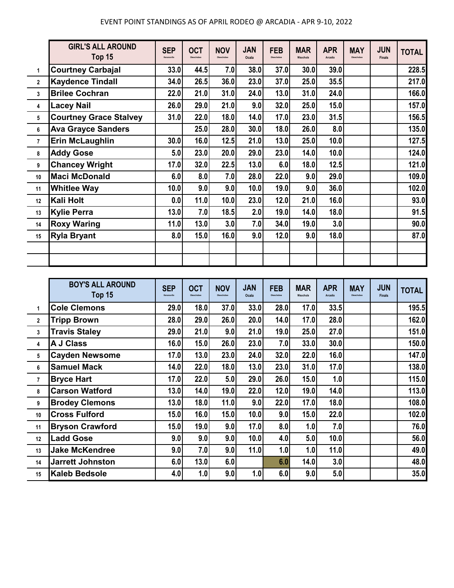|                | <b>GIRL'S ALL AROUND</b><br>Top 15 | <b>SEP</b><br>Kenansville | <b>OCT</b><br>Okeechobee | <b>NOV</b><br>Okeechobee | <b>JAN</b><br>Ocala | <b>FEB</b><br>Okeechobee | <b>MAR</b><br>Wauchula | <b>APR</b><br>Arcadia | <b>MAY</b><br>Okeechobee | <b>JUN</b><br><b>Finals</b> | <b>TOTAL</b> |
|----------------|------------------------------------|---------------------------|--------------------------|--------------------------|---------------------|--------------------------|------------------------|-----------------------|--------------------------|-----------------------------|--------------|
| 1              | <b>Courtney Carbajal</b>           | 33.0                      | 44.5                     | 7.0                      | <b>38.0</b>         | 37.0                     | 30.0                   | 39.0                  |                          |                             | 228.5        |
| $\mathbf{2}$   | <b>Kaydence Tindall</b>            | 34.0                      | 26.5                     | 36.0                     | 23.0                | 37.0                     | 25.0                   | 35.5                  |                          |                             | 217.0        |
| 3              | <b>Brilee Cochran</b>              | 22.0                      | 21.0                     | 31.0                     | 24.0                | 13.0                     | 31.0                   | 24.0                  |                          |                             | 166.0        |
| 4              | <b>Lacey Nail</b>                  | 26.0                      | 29.0                     | 21.0                     | 9.0                 | 32.0                     | 25.0                   | 15.0                  |                          |                             | 157.0        |
| 5              | <b>Courtney Grace Stalvey</b>      | 31.0                      | 22.0                     | 18.0                     | 14.0                | 17.0                     | 23.0                   | 31.5                  |                          |                             | 156.5        |
| 6              | <b>Ava Grayce Sanders</b>          |                           | 25.0                     | 28.0                     | 30.0                | 18.0                     | 26.0                   | 8.0                   |                          |                             | 135.0        |
| $\overline{7}$ | <b>Erin McLaughlin</b>             | 30.0                      | 16.0                     | 12.5                     | 21.0                | 13.0                     | 25.0                   | 10.0                  |                          |                             | 127.5        |
| 8              | <b>Addy Gose</b>                   | 5.0                       | 23.0                     | 20.0                     | 29.0                | 23.0                     | 14.0                   | 10.0                  |                          |                             | 124.0        |
| 9              | <b>Chancey Wright</b>              | 17.0                      | 32.0                     | 22.5                     | 13.0                | 6.0                      | 18.0                   | 12.5                  |                          |                             | 121.0        |
| 10             | <b>Maci McDonald</b>               | 6.0                       | 8.0                      | 7.0                      | 28.0                | 22.0                     | 9.0                    | 29.0                  |                          |                             | 109.0        |
| 11             | <b>Whitlee Way</b>                 | 10.0                      | 9.0                      | 9.0                      | 10.0                | 19.0                     | 9.0                    | 36.0                  |                          |                             | 102.0        |
| 12             | Kali Holt                          | 0.0                       | 11.0                     | 10.0                     | 23.0                | 12.0                     | 21.0                   | 16.0                  |                          |                             | 93.0         |
| 13             | <b>Kylie Perra</b>                 | 13.0                      | 7.0                      | 18.5                     | 2.0                 | 19.0                     | 14.0                   | 18.0                  |                          |                             | 91.5         |
| 14             | <b>Roxy Waring</b>                 | 11.0                      | 13.0                     | 3.0                      | 7.0                 | 34.0                     | 19.0                   | 3.0                   |                          |                             | 90.0         |
| 15             | <b>Ryla Bryant</b>                 | 8.0                       | 15.0                     | 16.0                     | 9.0                 | 12.0                     | 9.0                    | 18.0                  |                          |                             | 87.0         |
|                |                                    |                           |                          |                          |                     |                          |                        |                       |                          |                             |              |
|                |                                    |                           |                          |                          |                     |                          |                        |                       |                          |                             |              |

|                | <b>BOY'S ALL AROUND</b><br>Top 15 | <b>SEP</b><br>Kenansville | <b>OCT</b><br>Okeechobee | <b>NOV</b><br>Okeechobee | <b>JAN</b><br>Ocala | <b>FEB</b><br>Okeechobee | <b>MAR</b><br>Wauchula | <b>APR</b><br>Arcadia | <b>MAY</b><br>Okeechobee | <b>JUN</b><br><b>Finals</b> | <b>TOTAL</b> |
|----------------|-----------------------------------|---------------------------|--------------------------|--------------------------|---------------------|--------------------------|------------------------|-----------------------|--------------------------|-----------------------------|--------------|
| 1              | <b>Cole Clemons</b>               | 29.0                      | 18.0                     | 37.0                     | 33.0                | 28.0                     | 17.0                   | 33.5                  |                          |                             | 195.5        |
| $\mathbf{2}$   | <b>Tripp Brown</b>                | 28.0                      | 29.0                     | 26.0                     | 20.0                | 14.0                     | 17.0                   | 28.0                  |                          |                             | 162.0        |
| 3              | <b>Travis Staley</b>              | 29.0                      | 21.0                     | 9.0                      | 21.0                | 19.0                     | 25.0                   | 27.0                  |                          |                             | 151.0        |
| 4              | A J Class                         | 16.0                      | 15.0                     | 26.0                     | 23.0                | 7.0                      | 33.0                   | 30.0                  |                          |                             | 150.0        |
| 5              | <b>Cayden Newsome</b>             | 17.0                      | 13.0                     | 23.0                     | 24.0                | 32.0                     | 22.0                   | 16.0                  |                          |                             | 147.0        |
| 6              | <b>Samuel Mack</b>                | 14.0                      | 22.0                     | 18.0                     | 13.0                | 23.0                     | 31.0                   | 17.0                  |                          |                             | 138.0        |
| $\overline{7}$ | <b>Bryce Hart</b>                 | 17.0                      | 22.0                     | 5.0                      | 29.0                | 26.0                     | 15.0                   | 1.0                   |                          |                             | 115.0        |
| 8              | <b>Carson Watford</b>             | 13.0                      | 14.0                     | 19.0                     | 22.0                | 12.0                     | 19.0                   | 14.0                  |                          |                             | 113.0        |
| 9              | <b>Brodey Clemons</b>             | 13.0                      | 18.0                     | 11.0                     | 9.0                 | 22.0                     | 17.0                   | 18.0                  |                          |                             | 108.0        |
| 10             | <b>Cross Fulford</b>              | 15.0                      | 16.0                     | 15.0                     | 10.0                | 9.0                      | 15.0                   | 22.0                  |                          |                             | 102.0        |
| 11             | <b>Bryson Crawford</b>            | 15.0                      | 19.0                     | 9.0                      | 17.0                | 8.0                      | 1.0                    | 7.0                   |                          |                             | 76.0         |
| 12             | <b>Ladd Gose</b>                  | 9.0                       | 9.0                      | 9.0                      | 10.0                | 4.0                      | 5.0                    | 10.0                  |                          |                             | 56.0         |
| 13             | <b>Jake McKendree</b>             | 9.0                       | 7.0                      | 9.0                      | 11.0                | 1.0                      | 1.0                    | 11.0                  |                          |                             | 49.0         |
| 14             | <b>Jarrett Johnston</b>           | 6.0                       | 13.0                     | 6.0                      |                     | 6.0                      | 14.0                   | 3.0                   |                          |                             | 48.0         |
| 15             | <b>Kaleb Bedsole</b>              | 4.0                       | 1.0                      | 9.0                      | 1.0                 | 6.0                      | 9.0                    | 5.0                   |                          |                             | 35.0         |